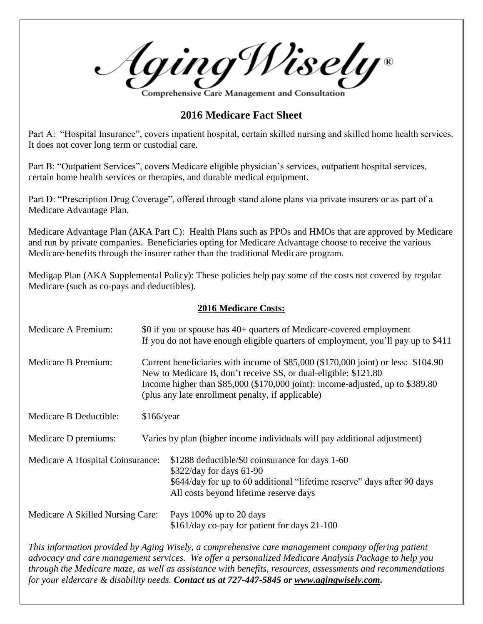Aging Wisely® omprehensive Care Management and Consultatio`

**2016 Medicare Fact Sheet**

Part A: "Hospital Insurance", covers inpatient hospital, certain skilled nursing and skilled home health services. It does not cover long term or custodial care.

Part B: "Outpatient Services", covers Medicare eligible physician's services, outpatient hospital services, certain home health services or therapies, and durable medical equipment.

Part D: "Prescription Drug Coverage", offered through stand alone plans via private insurers or as part of a Medicare Advantage Plan.

Medicare Advantage Plan (AKA Part C): Health Plans such as PPOs and HMOs that are approved by Medicare and run by private companies. Beneficiaries opting for Medicare Advantage choose to receive the various Medicare benefits through the insurer rather than the traditional Medicare program.

Medigap Plan (AKA Supplemental Policy): These policies help pay some of the costs not covered by regular Medicare (such as co-pays and deductibles).

## **2016 Medicare Costs:**

| Medicare A Premium:              | \$0 if you or spouse has 40+ quarters of Medicare-covered employment<br>If you do not have enough eligible quarters of employment, you'll pay up to \$411                                                                                                                                   |                                                                                                                                                                                                   |
|----------------------------------|---------------------------------------------------------------------------------------------------------------------------------------------------------------------------------------------------------------------------------------------------------------------------------------------|---------------------------------------------------------------------------------------------------------------------------------------------------------------------------------------------------|
| Medicare B Premium:              | Current beneficiaries with income of \$85,000 (\$170,000 joint) or less: \$104.90<br>New to Medicare B, don't receive SS, or dual-eligible: \$121.80<br>Income higher than \$85,000 (\$170,000 joint): income-adjusted, up to \$389.80<br>(plus any late enrollment penalty, if applicable) |                                                                                                                                                                                                   |
| Medicare B Deductible:           | $$166$ /year                                                                                                                                                                                                                                                                                |                                                                                                                                                                                                   |
| Medicare D premiums:             |                                                                                                                                                                                                                                                                                             | Varies by plan (higher income individuals will pay additional adjustment)                                                                                                                         |
| Medicare A Hospital Coinsurance: |                                                                                                                                                                                                                                                                                             | \$1288 deductible/\$0 coinsurance for days 1-60<br>$$322/day$ for days 61-90<br>\$644/day for up to 60 additional "lifetime reserve" days after 90 days<br>All costs beyond lifetime reserve days |
| Medicare A Skilled Nursing Care: |                                                                                                                                                                                                                                                                                             | Pays 100% up to 20 days<br>\$161/day co-pay for patient for days 21-100                                                                                                                           |

*This information provided by Aging Wisely, a comprehensive care management company offering patient advocacy and care management services. We offer a personalized Medicare Analysis Package to help you through the Medicare maze, as well as assistance with benefits, resources, assessments and recommendations for your eldercare & disability needs. Contact us at 727-447-5845 or [www.agingwisely.com.](http://www.agingwisely.com/)*